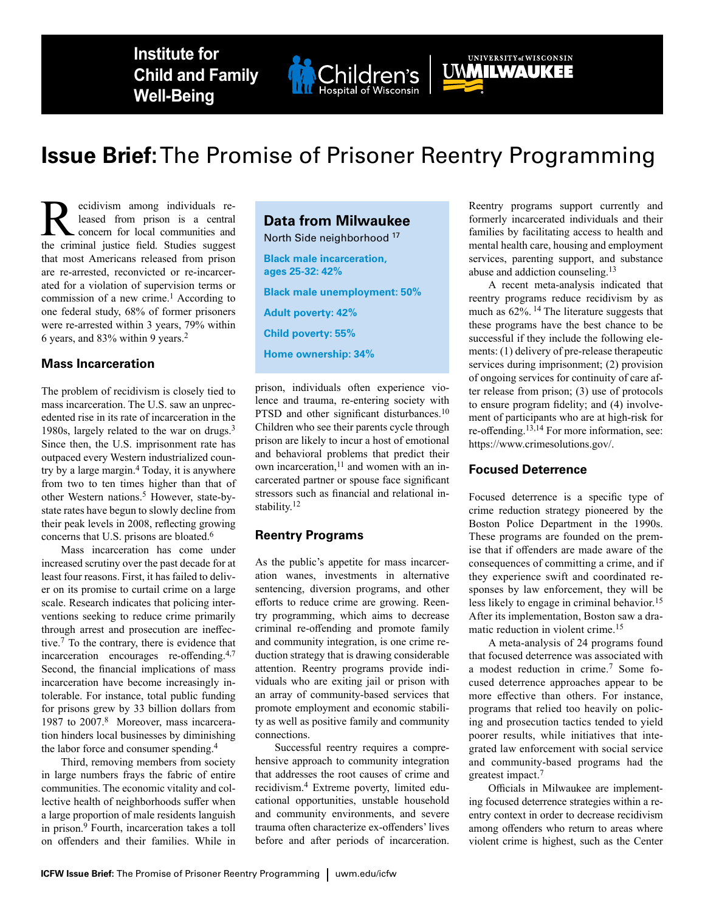**Institute for Child and Family Well-Being**



# **Issue Brief:** The Promise of Prisoner Reentry Programming

**R**ecidivism among individuals re-<br>leased from prison is a central<br>the criminal justice field Studies suggest leased from prison is a central the criminal justice field. Studies suggest that most Americans released from prison are re-arrested, reconvicted or re-incarcerated for a violation of supervision terms or commission of a new crime.<sup>1</sup> According to one federal study, 68% of former prisoners were re-arrested within 3 years, 79% within 6 years, and 83% within 9 years.<sup>2</sup>

### **Mass Incarceration**

The problem of recidivism is closely tied to mass incarceration. The U.S. saw an unprecedented rise in its rate of incarceration in the 1980s, largely related to the war on drugs.<sup>3</sup> Since then, the U.S. imprisonment rate has outpaced every Western industrialized country by a large margin.4 Today, it is anywhere from two to ten times higher than that of other Western nations.<sup>5</sup> However, state-bystate rates have begun to slowly decline from their peak levels in 2008, reflecting growing concerns that U.S. prisons are bloated.<sup>6</sup>

Mass incarceration has come under increased scrutiny over the past decade for at least four reasons. First, it has failed to deliver on its promise to curtail crime on a large scale. Research indicates that policing interventions seeking to reduce crime primarily through arrest and prosecution are ineffective.7 To the contrary, there is evidence that incarceration encourages re-offending.4,7 Second, the financial implications of mass incarceration have become increasingly intolerable. For instance, total public funding for prisons grew by 33 billion dollars from 1987 to 2007.8 Moreover, mass incarceration hinders local businesses by diminishing the labor force and consumer spending.<sup>4</sup>

Third, removing members from society in large numbers frays the fabric of entire communities. The economic vitality and collective health of neighborhoods suffer when a large proportion of male residents languish in prison.9 Fourth, incarceration takes a toll on offenders and their families. While in

# **Data from Milwaukee**

North Side neighborhood 17

**Black male incarceration, ages 25-32: 42% Black male unemployment: 50% Adult poverty: 42% Child poverty: 55% Home ownership: 34%**

prison, individuals often experience violence and trauma, re-entering society with PTSD and other significant disturbances.<sup>10</sup> Children who see their parents cycle through prison are likely to incur a host of emotional and behavioral problems that predict their own incarceration,<sup>11</sup> and women with an incarcerated partner or spouse face significant stressors such as financial and relational instability.<sup>12</sup>

#### **Reentry Programs**

As the public's appetite for mass incarceration wanes, investments in alternative sentencing, diversion programs, and other efforts to reduce crime are growing. Reentry programming, which aims to decrease criminal re-offending and promote family and community integration, is one crime reduction strategy that is drawing considerable attention. Reentry programs provide individuals who are exiting jail or prison with an array of community-based services that promote employment and economic stability as well as positive family and community connections.

Successful reentry requires a comprehensive approach to community integration that addresses the root causes of crime and recidivism.4 Extreme poverty, limited educational opportunities, unstable household and community environments, and severe trauma often characterize ex-offenders' lives before and after periods of incarceration.

Reentry programs support currently and formerly incarcerated individuals and their families by facilitating access to health and mental health care, housing and employment services, parenting support, and substance abuse and addiction counseling.<sup>13</sup>

UWWILWAUKEE

A recent meta-analysis indicated that reentry programs reduce recidivism by as much as 62%. 14 The literature suggests that these programs have the best chance to be successful if they include the following elements: (1) delivery of pre-release therapeutic services during imprisonment; (2) provision of ongoing services for continuity of care after release from prison; (3) use of protocols to ensure program fidelity; and (4) involvement of participants who are at high-risk for re-offending.13,14 For more information, see: <https://www.crimesolutions.gov/>.

#### **Focused Deterrence**

Focused deterrence is a specific type of crime reduction strategy pioneered by the Boston Police Department in the 1990s. These programs are founded on the premise that if offenders are made aware of the consequences of committing a crime, and if they experience swift and coordinated responses by law enforcement, they will be less likely to engage in criminal behavior.<sup>15</sup> After its implementation, Boston saw a dramatic reduction in violent crime.<sup>15</sup>

A meta-analysis of 24 programs found that focused deterrence was associated with a modest reduction in crime.7 Some focused deterrence approaches appear to be more effective than others. For instance, programs that relied too heavily on policing and prosecution tactics tended to yield poorer results, while initiatives that integrated law enforcement with social service and community-based programs had the greatest impact.<sup>7</sup>

Officials in Milwaukee are implementing focused deterrence strategies within a reentry context in order to decrease recidivism among offenders who return to areas where violent crime is highest, such as the Center